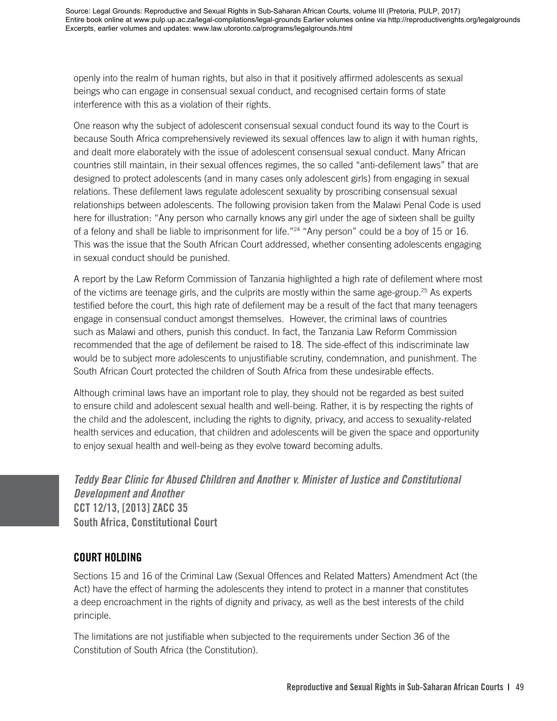openly into the realm of human rights, but also in that it positively affirmed adolescents as sexual beings who can engage in consensual sexual conduct, and recognised certain forms of state interference with this as a violation of their rights.

One reason why the subject of adolescent consensual sexual conduct found its way to the Court is because South Africa comprehensively reviewed its sexual offences law to align it with human rights, and dealt more elaborately with the issue of adolescent consensual sexual conduct. Many African countries still maintain, in their sexual offences regimes, the so called "anti-defilement laws" that are designed to protect adolescents (and in many cases only adolescent girls) from engaging in sexual relations. These defilement laws regulate adolescent sexuality by proscribing consensual sexual relationships between adolescents. The following provision taken from the Malawi Penal Code is used here for illustration: "Any person who carnally knows any girl under the age of sixteen shall be guilty of a felony and shall be liable to imprisonment for life."24 "Any person" could be a boy of 15 or 16. This was the issue that the South African Court addressed, whether consenting adolescents engaging in sexual conduct should be punished.

A report by the Law Reform Commission of Tanzania highlighted a high rate of defilement where most of the victims are teenage girls, and the culprits are mostly within the same age-group.25 As experts testified before the court, this high rate of defilement may be a result of the fact that many teenagers engage in consensual conduct amongst themselves. However, the criminal laws of countries such as Malawi and others, punish this conduct. In fact, the Tanzania Law Reform Commission recommended that the age of defilement be raised to 18. The side-effect of this indiscriminate law would be to subject more adolescents to unjustifiable scrutiny, condemnation, and punishment. The South African Court protected the children of South Africa from these undesirable effects.

Although criminal laws have an important role to play, they should not be regarded as best suited to ensure child and adolescent sexual health and well-being. Rather, it is by respecting the rights of the child and the adolescent, including the rights to dignity, privacy, and access to sexuality-related health services and education, that children and adolescents will be given the space and opportunity to enjoy sexual health and well-being as they evolve toward becoming adults.

*Teddy Bear Clinic for Abused Children and Another v. Minister of Justice and Constitutional Development and Another*  **CCT 12/13, [2013] ZACC 35 South Africa, Constitutional Court** 

### **COURT HOLDING**

Sections 15 and 16 of the Criminal Law (Sexual Offences and Related Matters) Amendment Act (the Act) have the effect of harming the adolescents they intend to protect in a manner that constitutes a deep encroachment in the rights of dignity and privacy, as well as the best interests of the child principle.

The limitations are not justifiable when subjected to the requirements under Section 36 of the Constitution of South Africa (the Constitution).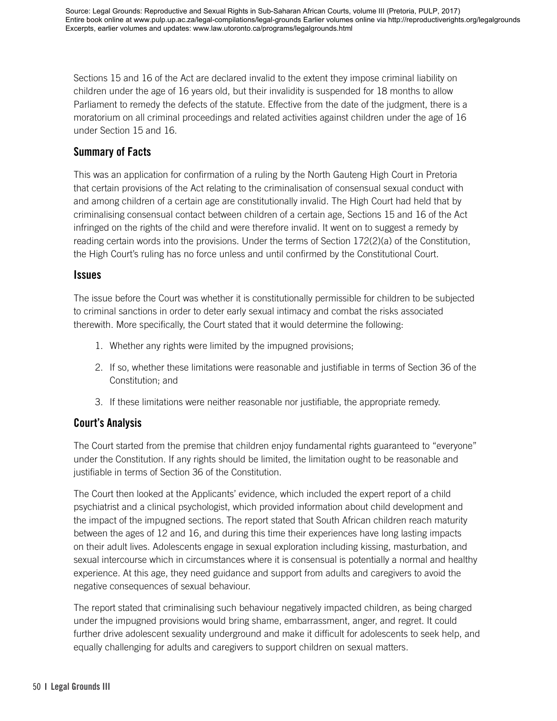Sections 15 and 16 of the Act are declared invalid to the extent they impose criminal liability on children under the age of 16 years old, but their invalidity is suspended for 18 months to allow Parliament to remedy the defects of the statute. Effective from the date of the judgment, there is a moratorium on all criminal proceedings and related activities against children under the age of 16 under Section 15 and 16.

## **Summary of Facts**

This was an application for confirmation of a ruling by the North Gauteng High Court in Pretoria that certain provisions of the Act relating to the criminalisation of consensual sexual conduct with and among children of a certain age are constitutionally invalid. The High Court had held that by criminalising consensual contact between children of a certain age, Sections 15 and 16 of the Act infringed on the rights of the child and were therefore invalid. It went on to suggest a remedy by reading certain words into the provisions. Under the terms of Section 172(2)(a) of the Constitution, the High Court's ruling has no force unless and until confirmed by the Constitutional Court.

#### **Issues**

The issue before the Court was whether it is constitutionally permissible for children to be subjected to criminal sanctions in order to deter early sexual intimacy and combat the risks associated therewith. More specifically, the Court stated that it would determine the following:

- 1. Whether any rights were limited by the impugned provisions;
- 2. If so, whether these limitations were reasonable and justifiable in terms of Section 36 of the Constitution; and
- 3. If these limitations were neither reasonable nor justifiable, the appropriate remedy.

## **Court's Analysis**

The Court started from the premise that children enjoy fundamental rights guaranteed to "everyone" under the Constitution. If any rights should be limited, the limitation ought to be reasonable and justifiable in terms of Section 36 of the Constitution.

The Court then looked at the Applicants' evidence, which included the expert report of a child psychiatrist and a clinical psychologist, which provided information about child development and the impact of the impugned sections. The report stated that South African children reach maturity between the ages of 12 and 16, and during this time their experiences have long lasting impacts on their adult lives. Adolescents engage in sexual exploration including kissing, masturbation, and sexual intercourse which in circumstances where it is consensual is potentially a normal and healthy experience. At this age, they need guidance and support from adults and caregivers to avoid the negative consequences of sexual behaviour.

The report stated that criminalising such behaviour negatively impacted children, as being charged under the impugned provisions would bring shame, embarrassment, anger, and regret. It could further drive adolescent sexuality underground and make it difficult for adolescents to seek help, and equally challenging for adults and caregivers to support children on sexual matters.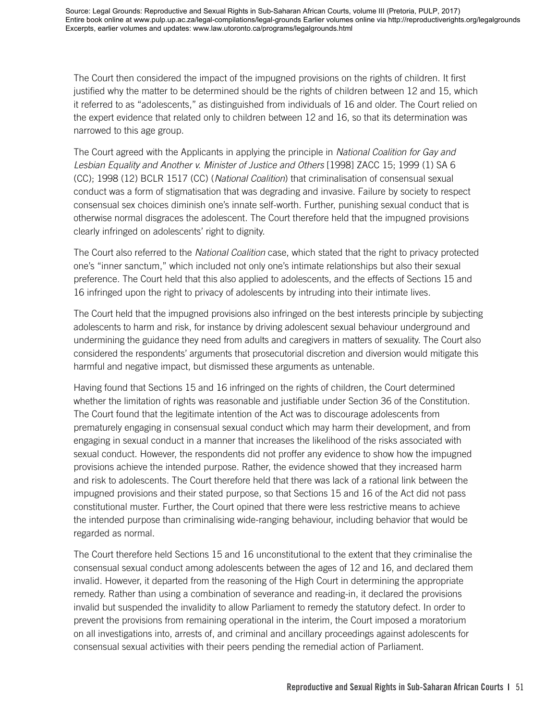The Court then considered the impact of the impugned provisions on the rights of children. It first justified why the matter to be determined should be the rights of children between 12 and 15, which it referred to as "adolescents," as distinguished from individuals of 16 and older. The Court relied on the expert evidence that related only to children between 12 and 16, so that its determination was narrowed to this age group.

The Court agreed with the Applicants in applying the principle in *National Coalition for Gay and Lesbian Equality and Another v. Minister of Justice and Others* [1998] ZACC 15; 1999 (1) SA 6 (CC); 1998 (12) BCLR 1517 (CC) (*National Coalition*) that criminalisation of consensual sexual conduct was a form of stigmatisation that was degrading and invasive. Failure by society to respect consensual sex choices diminish one's innate self-worth. Further, punishing sexual conduct that is otherwise normal disgraces the adolescent. The Court therefore held that the impugned provisions clearly infringed on adolescents' right to dignity.

The Court also referred to the *National Coalition* case, which stated that the right to privacy protected one's "inner sanctum," which included not only one's intimate relationships but also their sexual preference. The Court held that this also applied to adolescents, and the effects of Sections 15 and 16 infringed upon the right to privacy of adolescents by intruding into their intimate lives.

The Court held that the impugned provisions also infringed on the best interests principle by subjecting adolescents to harm and risk, for instance by driving adolescent sexual behaviour underground and undermining the guidance they need from adults and caregivers in matters of sexuality. The Court also considered the respondents' arguments that prosecutorial discretion and diversion would mitigate this harmful and negative impact, but dismissed these arguments as untenable.

Having found that Sections 15 and 16 infringed on the rights of children, the Court determined whether the limitation of rights was reasonable and justifiable under Section 36 of the Constitution. The Court found that the legitimate intention of the Act was to discourage adolescents from prematurely engaging in consensual sexual conduct which may harm their development, and from engaging in sexual conduct in a manner that increases the likelihood of the risks associated with sexual conduct. However, the respondents did not proffer any evidence to show how the impugned provisions achieve the intended purpose. Rather, the evidence showed that they increased harm and risk to adolescents. The Court therefore held that there was lack of a rational link between the impugned provisions and their stated purpose, so that Sections 15 and 16 of the Act did not pass constitutional muster. Further, the Court opined that there were less restrictive means to achieve the intended purpose than criminalising wide-ranging behaviour, including behavior that would be regarded as normal.

The Court therefore held Sections 15 and 16 unconstitutional to the extent that they criminalise the consensual sexual conduct among adolescents between the ages of 12 and 16, and declared them invalid. However, it departed from the reasoning of the High Court in determining the appropriate remedy. Rather than using a combination of severance and reading-in, it declared the provisions invalid but suspended the invalidity to allow Parliament to remedy the statutory defect. In order to prevent the provisions from remaining operational in the interim, the Court imposed a moratorium on all investigations into, arrests of, and criminal and ancillary proceedings against adolescents for consensual sexual activities with their peers pending the remedial action of Parliament.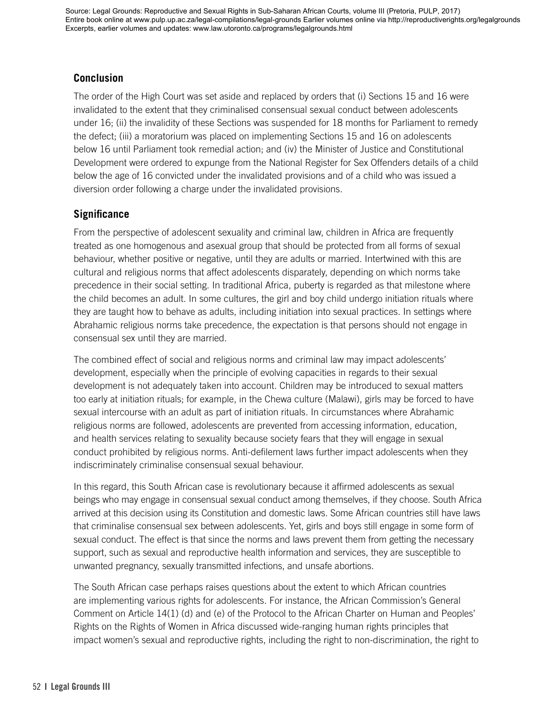### **Conclusion**

The order of the High Court was set aside and replaced by orders that (i) Sections 15 and 16 were invalidated to the extent that they criminalised consensual sexual conduct between adolescents under 16; (ii) the invalidity of these Sections was suspended for 18 months for Parliament to remedy the defect; (iii) a moratorium was placed on implementing Sections 15 and 16 on adolescents below 16 until Parliament took remedial action; and (iv) the Minister of Justice and Constitutional Development were ordered to expunge from the National Register for Sex Offenders details of a child below the age of 16 convicted under the invalidated provisions and of a child who was issued a diversion order following a charge under the invalidated provisions.

### **Significance**

From the perspective of adolescent sexuality and criminal law, children in Africa are frequently treated as one homogenous and asexual group that should be protected from all forms of sexual behaviour, whether positive or negative, until they are adults or married. Intertwined with this are cultural and religious norms that affect adolescents disparately, depending on which norms take precedence in their social setting. In traditional Africa, puberty is regarded as that milestone where the child becomes an adult. In some cultures, the girl and boy child undergo initiation rituals where they are taught how to behave as adults, including initiation into sexual practices. In settings where Abrahamic religious norms take precedence, the expectation is that persons should not engage in consensual sex until they are married.

The combined effect of social and religious norms and criminal law may impact adolescents' development, especially when the principle of evolving capacities in regards to their sexual development is not adequately taken into account. Children may be introduced to sexual matters too early at initiation rituals; for example, in the Chewa culture (Malawi), girls may be forced to have sexual intercourse with an adult as part of initiation rituals. In circumstances where Abrahamic religious norms are followed, adolescents are prevented from accessing information, education, and health services relating to sexuality because society fears that they will engage in sexual conduct prohibited by religious norms. Anti-defilement laws further impact adolescents when they indiscriminately criminalise consensual sexual behaviour.

In this regard, this South African case is revolutionary because it affirmed adolescents as sexual beings who may engage in consensual sexual conduct among themselves, if they choose. South Africa arrived at this decision using its Constitution and domestic laws. Some African countries still have laws that criminalise consensual sex between adolescents. Yet, girls and boys still engage in some form of sexual conduct. The effect is that since the norms and laws prevent them from getting the necessary support, such as sexual and reproductive health information and services, they are susceptible to unwanted pregnancy, sexually transmitted infections, and unsafe abortions.

The South African case perhaps raises questions about the extent to which African countries are implementing various rights for adolescents. For instance, the African Commission's General Comment on Article 14(1) (d) and (e) of the Protocol to the African Charter on Human and Peoples' Rights on the Rights of Women in Africa discussed wide-ranging human rights principles that impact women's sexual and reproductive rights, including the right to non-discrimination, the right to